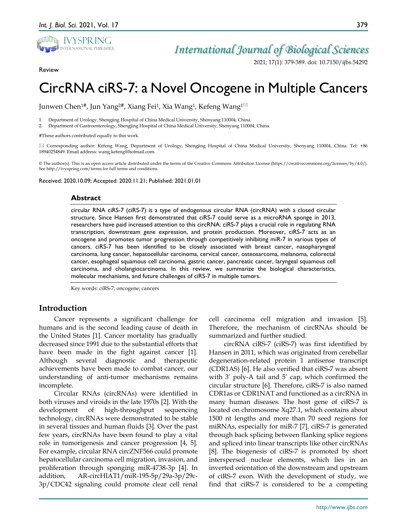

Review

2021; 17(1): 379-389. doi: 10.7150/ijbs.54292

# CircRNA ciRS-7: a Novel Oncogene in Multiple Cancers

Junwen Chen<sup>1#</sup>, Jun Yang<sup>2#</sup>, Xiang Fei<sup>1</sup>, Xia Wang<sup>1</sup>, Kefeng Wang<sup>1⊠</sup>

1. Department of Urology, Shengjing Hospital of China Medical University, Shenyang 110004, China.

2. Department of Gastroenterology, Shengjing Hospital of China Medical University, Shenyang 110004, China.

#These authors contributed equally to this work.

 Corresponding author: Kefeng Wang, Department of Urology, Shengjing Hospital of China Medical University, Shenyang 110004, China. Tel: +86 18940254849. Email address: wang.kefeng@hotmail.com.

© The author(s). This is an open access article distributed under the terms of the Creative Commons Attribution License (https://creativecommons.org/licenses/by/4.0/). See http://ivyspring.com/terms for full terms and conditions.

Received: 2020.10.09; Accepted: 2020.11.21; Published: 2021.01.01

#### **Abstract**

circular RNA ciRS-7 (ciRS-7) is a type of endogenous circular RNA (circRNA) with a closed circular structure. Since Hansen first demonstrated that ciRS-7 could serve as a microRNA sponge in 2013, researchers have paid increased attention to this circRNA. ciRS-7 plays a crucial role in regulating RNA transcription, downstream gene expression, and protein production. Moreover, ciRS-7 acts as an oncogene and promotes tumor progression through competitively inhibiting miR-7 in various types of cancers. ciRS-7 has been identified to be closely associated with breast cancer, nasopharyngeal carcinoma, lung cancer, hepatocellular carcinoma, cervical cancer, osteosarcoma, melanoma, colorectal cancer, esophageal squamous cell carcinoma, gastric cancer, pancreatic cancer, laryngeal squamous cell carcinoma, and cholangiocarcinoma. In this review, we summarize the biological characteristics, molecular mechanisms, and future challenges of ciRS-7 in multiple tumors.

Key words: ciRS-7; oncogene; cancers

# **Introduction**

Cancer represents a significant challenge for humans and is the second leading cause of death in the United States [1]. Cancer mortality has gradually decreased since 1991 due to the substantial efforts that have been made in the fight against cancer [1]. Although several diagnostic and therapeutic achievements have been made to combat cancer, our understanding of anti-tumor mechanisms remains incomplete.

Circular RNAs (circRNAs) were identified in both viruses and viroids in the late 1970s [2]. With the development of high-throughput sequencing technology, circRNAs were demonstrated to be stable in several tissues and human fluids [3]. Over the past few years, circRNAs have been found to play a vital role in tumorigenesis and cancer progression [4, 5]. For example, circular RNA circZNF566 could promote hepatocellular carcinoma cell migration, invasion, and proliferation through sponging miR-4738-3p [4]. In addition, AR-circHIAT1/miR-195-5p/29a-3p/29c-3p/CDC42 signaling could promote clear cell renal

cell carcinoma cell migration and invasion [5]. Therefore, the mechanism of circRNAs should be summarized and further studied.

circRNA ciRS-7 (ciRS-7) was first identified by Hansen in 2011, which was originated from cerebellar degeneration-related protein 1 antisense transcript (CDR1AS) [6]. He also verified that ciRS-7 was absent with 3' poly-A tail and 5' cap, which confirmed the circular structure [6]. Therefore, ciRS-7 is also named CDR1as or CDR1NAT and functioned as a circRNA in many human diseases. The host gene of ciRS-7 is located on chromosome Xq27.1, which contains about 1500 nt lengths and more than 70 seed regions for miRNAs, especially for miR-7 [7]. ciRS-7 is generated through back splicing between flanking splice regions and spliced into linear transcripts like other circRNAs [8]. The biogenesis of ciRS-7 is promoted by short interspersed nuclear elements, which lies in an inverted orientation of the downstream and upstream of ciRS-7 exon. With the development of study, we find that ciRS-7 is considered to be a competing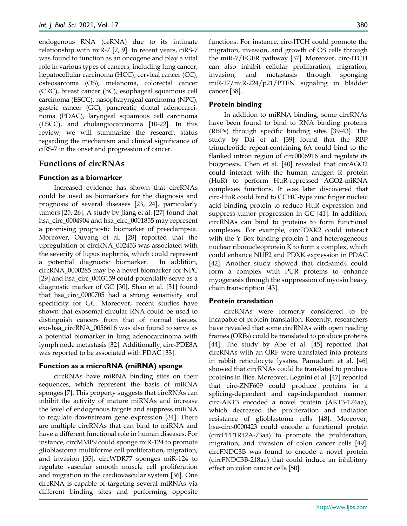endogenous RNA (ceRNA) due to its intimate relationship with miR-7 [7, 9]. In recent years, ciRS-7 was found to function as an oncogene and play a vital role in various types of cancers, including lung cancer, hepatocellular carcinoma (HCC), cervical cancer (CC), osteosarcoma (OS), melanoma, colorectal cancer (CRC), breast cancer (BC), esophageal squamous cell carcinoma (ESCC), nasopharyngeal carcinoma (NPC), gastric cancer (GC), pancreatic ductal adenocarcinoma (PDAC), laryngeal squamous cell carcinoma (LSCC), and cholangiocarcinoma [10-22]. In this review, we will summarize the research status regarding the mechanism and clinical significance of ciRS-7 in the onset and progression of cancer.

# **Functions of circRNAs**

# **Function as a biomarker**

Increased evidence has shown that circRNAs could be used as biomarkers for the diagnosis and prognosis of several diseases [23, 24], particularly tumors [25, 26]. A study by Jiang et al. [27] found that hsa\_circ\_0004904 and hsa\_circ\_0001855 may represent a promising prognostic biomarker of preeclampsia. Moreover, Ouyang et al. [28] reported that the upregulation of circRNA\_002453 was associated with the severity of lupus nephritis, which could represent a potential diagnostic biomarker. In addition, circRNA\_0000285 may be a novel biomarker for NPC [29] and hsa\_circ\_0003159 could potentially serve as a diagnostic marker of GC [30]. Shao et al. [31] found that hsa\_circ\_0000705 had a strong sensitivity and specificity for GC. Moreover, recent studies have shown that exosomal circular RNA could be used to distinguish cancers from that of normal tissues. exo-hsa\_circRNA\_0056616 was also found to serve as a potential biomarker in lung adenocarcinoma with lymph node metastasis [32]. Additionally, circ-PDE8A was reported to be associated with PDAC [33].

# **Function as a microRNA (miRNA) sponge**

circRNAs have miRNA binding sites on their sequences, which represent the basis of miRNA sponges [7]. This property suggests that circRNAs can inhibit the activity of mature miRNAs and increase the level of endogenous targets and suppress miRNA to regulate downstream gene expression [34]. There are multiple circRNAs that can bind to miRNA and have a different functional role in human diseases. For instance, circMMP9 could sponge miR-124 to promote glioblastoma multiforme cell proliferation, migration, and invasion [35]. circWDR77 sponges miR-124 to regulate vascular smooth muscle cell proliferation and migration in the cardiovascular system [36]. One circRNA is capable of targeting several miRNAs via different binding sites and performing opposite

functions. For instance, circ-ITCH could promote the migration, invasion, and growth of OS cells through the miR-7/EGFR pathway [37]. Moreover, circ-ITCH can also inhibit cellular prolifaration, migration, invasion, and metastasis through sponging miR-17/miR-224/p21/PTEN signaling in bladder cancer [38].

# **Protein binding**

In addition to miRNA binding, some circRNAs have been found to bind to RNA binding proteins (RBPs) through specific binding sites [39-43]. The study by Dai et al. [39] found that the RBP trinucleotide repeat-containing 6A could bind to the flanked intron region of circ0006916 and regulate its biogenesis. Chen et al. [40] revealed that circAGO2 could interact with the human antigen R protein (HuR) to perform HuR-repressed AGO2-miRNA complexes functions. It was later discovered that circ-HuR could bind to CCHC-type zinc finger nucleic acid binding protein to reduce HuR expression and suppress tumor progression in GC [41]. In addition, circRNAs can bind to proteins to form functional complexes. For example, circFOXK2 could interact with the Y Box binding protein 1 and heterogeneous nuclear ribonucleoprotein K to form a complex, which could enhance NUF2 and PDXK expression in PDAC [42]. Another study showed that circSamd4 could form a complex with PUR proteins to enhance myogenesis through the suppression of myosin heavy chain transcription [43].

# **Protein translation**

circRNAs were formerly considered to be incapable of protein translation. Recently, researchers have revealed that some circRNAs with open reading frames (ORFs) could be translated to produce proteins [44]. The study by Abe et al. [45] reported that circRNAs with an ORF were translated into proteins in rabbit reticulocyte lysates. Pamudurti et al. [46] showed that circRNAs could be translated to produce proteins in flies. Moreover, Legnini et al. [47] reported that circ-ZNF609 could produce proteins in a splicing-dependent and cap-independent manner. circ-AKT3 encoded a novel protein (AKT3-174aa), which decreased the proliferation and radiation resistance of glioblastoma cells [48]. Moreover, hsa-circ-0000423 could encode a functional protein (circPPP1R12A-73aa) to promote the proliferation, migration, and invasion of colon cancer cells [49]. circFNDC3B was found to encode a novel protein (circFNDC3B-218aa) that could induce an inhibitory effect on colon cancer cells [50].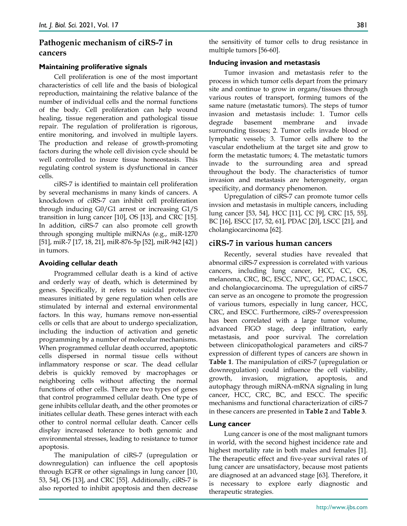# **Pathogenic mechanism of ciRS-7 in cancers**

# **Maintaining proliferative signals**

Cell proliferation is one of the most important characteristics of cell life and the basis of biological reproduction, maintaining the relative balance of the number of individual cells and the normal functions of the body. Cell proliferation can help wound healing, tissue regeneration and pathological tissue repair. The regulation of proliferation is rigorous, entire monitoring, and involved in multiple layers. The production and release of growth-promoting factors during the whole cell division cycle should be well controlled to insure tissue homeostasis. This regulating control system is dysfunctional in cancer cells.

ciRS-7 is identified to maintain cell proliferation by several mechanisms in many kinds of cancers. A knockdown of ciRS-7 can inhibit cell proliferation through inducing G0/G1 arrest or increasing G1/S transition in lung cancer [10], OS [13], and CRC [15]. In addition, ciRS-7 can also promote cell growth through sponging multiple miRNAs (e.g., miR-1270 [51], miR-7 [17, 18, 21], miR-876-5p [52], miR-942 [42] ) in tumors.

# **Avoiding cellular death**

Programmed cellular death is a kind of active and orderly way of death, which is determined by genes. Specifically, it refers to suicidal protective measures initiated by gene regulation when cells are stimulated by internal and external environmental factors. In this way, humans remove non-essential cells or cells that are about to undergo specialization, including the induction of activation and genetic programming by a number of molecular mechanisms. When programmed cellular death occurred, apoptotic cells dispersed in normal tissue cells without inflammatory response or scar. The dead cellular debris is quickly removed by macrophages or neighboring cells without affecting the normal functions of other cells. There are two types of genes that control programmed cellular death. One type of gene inhibits cellular death, and the other promotes or initiates cellular death. These genes interact with each other to control normal cellular death. Cancer cells display increased tolerance to both genomic and environmental stresses, leading to resistance to tumor apoptosis.

The manipulation of ciRS-7 (upregulation or downregulation) can influence the cell apoptosis through EGFR or other signalings in lung cancer [10, 53, 54], OS [13], and CRC [55]. Additionally, ciRS-7 is also reported to inhibit apoptosis and then decrease the sensitivity of tumor cells to drug resistance in multiple tumors [56-60].

# **Inducing invasion and metastasis**

Tumor invasion and metastasis refer to the process in which tumor cells depart from the primary site and continue to grow in organs/tissues through various routes of transport, forming tumors of the same nature (metastatic tumors). The steps of tumor invasion and metastasis include: 1. Tumor cells degrade basement membrane and invade surrounding tissues; 2. Tumor cells invade blood or lymphatic vessels; 3. Tumor cells adhere to the vascular endothelium at the target site and grow to form the metastatic tumors; 4. The metastatic tumors invade to the surrounding area and spread throughout the body. The characteristics of tumor invasion and metastasis are heterogeneity, organ specificity, and dormancy phenomenon.

Upregulation of ciRS-7 can promote tumor cells invsion and metastasis in multiple cancers, including lung cancer [53, 54], HCC [11], CC [9], CRC [15, 55], BC [16], ESCC [17, 52, 61], PDAC [20], LSCC [21], and cholangiocarcinoma [62].

# **ciRS-7 in various human cancers**

Recently, several studies have revealed that abnormal ciRS-7 expression is correlated with various cancers, including lung cancer, HCC, CC, OS, melanoma, CRC, BC, ESCC, NPC, GC, PDAC, LSCC, and cholangiocarcinoma. The upregulation of ciRS-7 can serve as an oncogene to promote the progression of various tumors, especially in lung cancer, HCC, CRC, and ESCC. Furthermore, ciRS-7 overexpression has been correlated with a large tumor volume, advanced FIGO stage, deep infiltration, early metastasis, and poor survival. The correlation between clinicopathological parameters and ciRS-7 expression of different types of cancers are shown in **Table 1**. The manipulation of ciRS-7 (upregulation or downregulation) could influence the cell viability, growth, invasion, migration, apoptosis, and autophagy through miRNA-mRNA signaling in lung cancer, HCC, CRC, BC, and ESCC. The specific mechanisms and functional characterization of ciRS-7 in these cancers are presented in **Table 2** and **Table 3**.

#### **Lung cancer**

Lung cancer is one of the most malignant tumors in world, with the second highest incidence rate and highest mortality rate in both males and females [1]. The therapeutic effect and five-year survival rates of lung cancer are unsatisfactory, because most patients are diagnosed at an advanced stage [63]. Therefore, it is necessary to explore early diagnostic and therapeutic strategies.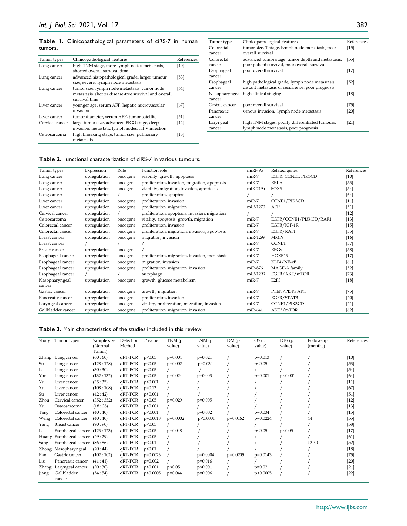#### **Table 1.** Clinicopathological parameters of ciRS-7 in human tumors.

| Tumor types     | Clinicopathological features                                                                                            | References |
|-----------------|-------------------------------------------------------------------------------------------------------------------------|------------|
| Lung cancer     | high TNM stage, more lymph nodes metastasis,<br>shorted overall survival time                                           | [10]       |
| Lung cancer     | advanced histopathological grade, larger tumour<br>size, severer lymph node metastasis                                  | $[53]$     |
| Lung cancer     | tumor size, lymph node metastasis, tumor node<br>metastasis, shorter disease-free survival and overall<br>survival time | [64]       |
| Liver cancer    | younger age, serum AFP, hepatic microvascular<br>invasion                                                               | [67]       |
| Liver cancer    | tumor diameter, serum AFP, tumor satellite                                                                              | $[51]$     |
| Cervical cancer | large tumor size, advanced FIGO stage, deep<br>invasion, metastatic lymph nodes, HPV infection                          | $[12]$     |
| Osteosarcoma    | high Enneking stage, tumor size, pulmonary<br>metastasis                                                                | $[13]$     |

| Tumor types    | Clinicopathological features                      | References |
|----------------|---------------------------------------------------|------------|
| Colorectal     | tumor size, T stage, lymph node metastasis, poor  | $[15]$     |
| cancer         | overall survival                                  |            |
| Colorectal     | advanced tumor stage, tumor depth and metastasis, | [55]       |
| cancer         | poor patient survival, poor overall survival      |            |
| Esophageal     | poor overall survival                             | $[17]$     |
| cancer         |                                                   |            |
| Esophageal     | high pathological grade, lymph node metastasis,   | $[52]$     |
| cancer         | distant metastasis or recurrence, poor prognosis  |            |
|                | Nasopharyngeal high clinical staging              | $[18]$     |
| cancer         |                                                   |            |
| Gastric cancer | poor overall survival                             | $[75]$     |
| Pancreatic     | venous invasion, lymph node metastasis            | [20]       |
| cancer         |                                                   |            |
| Laryngeal      | high TNM stages, poorly differentiated tumours,   | [21]       |
| cancer         | lymph node metastasis, poor prognosis             |            |

# **Table 2.** Functional characterization of ciRS-7 in various tumours.

| Tumor types          | Expression   | Role     | Function role                                  | miRNAs    | Related genes          | References |
|----------------------|--------------|----------|------------------------------------------------|-----------|------------------------|------------|
| Lung cancer          | upregulation | oncogene | viability, growth, apoptosis                   | miR-7     | EGFR, CCNE1, PIK3CD    | $[10]$     |
| Lung cancer          | upregulation | oncogene | proliferation, invasion, migration, apoptosis  | miR-7     | <b>RELA</b>            | $[53]$     |
| Lung cancer          | upregulation | oncogene | viability, migration, invasion, apoptosis      | miR-219a  | SOX5                   | $[54]$     |
| Lung cancer          | upregulation |          | proliferation, apoptosis                       |           |                        | [64]       |
| Liver cancer         | upregulation | oncogene | proliferation, invasion                        | miR-7     | CCNE1/PIK3CD           | $[11]$     |
| Liver cancer         | upregulation | oncogene | proliferation, migration                       | miR-1270  | AFP                    | $[51]$     |
| Cervical cancer      | upregulation |          | proliferation, apoptosis, invasion, migration  |           |                        | $[12]$     |
| Osteosarcoma         | upregulation | oncogene | vitality, apoptosis, growth, migration         | miR-7     | EGFR/CCNE1/PI3KCD/RAF1 | $[13]$     |
| Colorectal cancer    | upregulation | oncogene | proliferation, invasion                        | $miR-7$   | EGFR/IGF-1R            | $[15]$     |
| Colorectal cancer    | upregulation | oncogene | proliferation, migration, invasion, apoptosis  | miR-7     | EGFR/RAF1              | $[55]$     |
| <b>Breast cancer</b> | upregulation | oncogene | migration, invasion                            | miR-1299  | <b>MMPs</b>            | $[16]$     |
| Breast cancer        |              |          |                                                | miR-7     | <b>CCNE1</b>           | $[57]$     |
| <b>Breast cancer</b> | upregulation | oncogene |                                                | $miR-7$   | REGV                   | $[58]$     |
| Esophageal cancer    | upregulation | oncogene | proliferation, migration, invasion, metastasis | miR-7     | HOXB13                 | $[17]$     |
| Esophageal cancer    | upregulation | oncogene | migration, invasion                            | miR-7     | $KLF4/NF-KB$           | [61]       |
| Esophageal cancer    | upregulation | oncogene | proliferation, migration, invasion             | miR-876   | MAGE-A family          | $[52]$     |
| Esophageal cancer    |              |          | autophagy                                      | miR-1299  | EGFR/AKT/mTOR          | $[73]$     |
| Nasopharyngeal       | upregulation | oncogene | growth, glucose metabolism                     | $miR-7$   | E <sub>2F3</sub>       | $[18]$     |
| cancer               |              |          |                                                |           |                        |            |
| Gastric cancer       | upregulation | oncogene | growth, migration                              | $miR-7$   | PTEN/PI3K/AKT          | $[75]$     |
| Pancreatic cancer    | upregulation | oncogene | proliferation, invasion                        | $miR-7$   | EGFR/STAT3             | $[20]$     |
| Laryngeal cancer     | upregulation | oncogene | vitality, proliferation, migration, invasion   | $miR-7$   | CCNE1/PIK3CD           | $[21]$     |
| Gallbladder cancer   | upregulation | oncogene | proliferation, migration, invasion             | $miR-641$ | AKT3/mTOR              | [62]       |

#### **Table 3.** Main characteristics of the studies included in this review.

|       | Study Tumor types               | Sample size<br>(Normal: | Detection<br>Method | P value    | TNM(p)<br>value) | LNM(p)<br>value) | DM(p)<br>value) | OS(p)<br>value) | DFS(p)<br>value) | Follow-up<br>(months) | References |
|-------|---------------------------------|-------------------------|---------------------|------------|------------------|------------------|-----------------|-----------------|------------------|-----------------------|------------|
|       |                                 | Tumor)                  |                     |            |                  |                  |                 |                 |                  |                       |            |
| Zhang | Lung cancer                     | (60:60)                 | qRT-PCR             | p<0.05     | $p=0.004$        | $p=0.021$        |                 | $p=0.013$       |                  |                       | $[10]$     |
| Su    | Lung cancer                     | (128:128)               | qRT-PCR             | p<0.05     | $p=0.002$        | $p=0.034$        |                 | p<0.05          |                  |                       | $[53]$     |
| Li    | Lung cancer                     | (30:30)                 | qRT-PCR             | p<0.05     |                  |                  |                 |                 |                  |                       | $[54]$     |
| Yan   | Lung cancer                     | (132:132)               | qRT-PCR             | p<0.05     | $p=0.024$        | $p=0.003$        |                 | $p=0.001$       | p<0.001          |                       | [64]       |
| Yu    | Liver cancer                    | (35:35)                 | qRT-PCR             | p<0.001    |                  |                  |                 |                 |                  |                       | $[11]$     |
| Xu    | Liver cancer                    | (108:108)               | qRT-PCR             | $p=0.13$   |                  |                  |                 |                 |                  |                       | [67]       |
| Su    | Liver cancer                    | (42:42)                 | qRT-PCR             | p<0.001    |                  |                  |                 |                 |                  |                       | $[51]$     |
| Zhou  | Cervical cancer                 | (352:352)               | qRT-PCR             | p<0.05     | $p=0.029$        | $p=0.005$        |                 |                 |                  |                       | $[12]$     |
| Xu    | Osteosarcoma                    | (18:38)                 | $qRT-PCR$           | p<0.001    |                  |                  |                 |                 |                  |                       | $[13]$     |
| Tang  | Colorectal cancer               | (40:40)                 | $qRT-PCR$           | p<0.001    |                  | $p=0.002$        |                 | $p=0.034$       |                  |                       | $[15]$     |
| Weng  | Colorectal cancer               | (40:40)                 | qRT-PCR             | $p=0.0018$ | $p=0.0002$       | p<0.0001         | $p=0.0162$      | $p=0.0224$      |                  | 44                    | $[55]$     |
| Yang  | Breast cancer                   | (90:90)                 | qRT-PCR             | p<0.05     |                  |                  |                 |                 |                  |                       | $[58]$     |
| Li    | Esophageal cancer (123:123)     |                         | qRT-PCR             | p<0.05     | $p=0.048$        |                  |                 | p<0.05          | p<0.05           |                       | $[17]$     |
|       | Huang Esophageal cancer (29:29) |                         | qRT-PCR             | p<0.05     |                  |                  |                 |                 |                  |                       | [61]       |
| Sang  | Esophageal cancer (86:86)       |                         | qRT-PCR             | p<0.01     |                  |                  |                 |                 |                  | $12 - 60$             | $[52]$     |
|       | Zhong Nasopharyngeal            | (20:44)                 | qRT-PCR             | p<0.01     |                  |                  |                 |                 |                  |                       | $[18]$     |
| Pan   | Gastric cancer                  | (102:102)               | qRT-PCR             | $p=0.0023$ |                  | $p=0.0004$       | $p=0.0205$      | $p=0.0143$      |                  |                       | $[75]$     |
| Liu   | Pancreatic cancer               | (41:41)                 | qRT-PCR             | $p=0.002$  |                  | $p=0.016$        |                 |                 |                  |                       | $[20]$     |
| Zhang | Laryngeal cancer                | (30:30)                 | qRT-PCR             | p<0.001    | p<0.05           | p<0.001          |                 | $p=0.02$        |                  |                       | $[21]$     |
| Jiang | Gallbladder<br>cancer           | (54:54)                 | qRT-PCR             | p<0.0005   | $p=0.044$        | $p=0.006$        |                 | p<0.0005        |                  |                       | $[22]$     |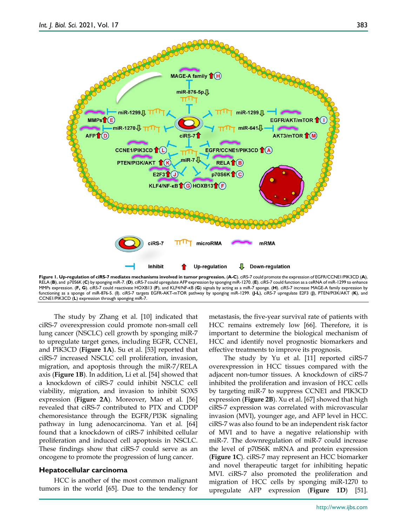

**Figure 1. Up-regulation of ciRS-7 mediates mechanisms involved in tumor progression.** (**A-C**). ciRS-7 could promote the expression of EGFR/CCNE1/PIK3CD (**A**), RELA (**B**), and p70S6K (**C**) by sponging miR-7. (**D**). ciRS-7 could upregulate AFP expression by sponging miR-1270. (**E**). ciRS-7 could function as a ceRNA of miR-1299 to enhance MMPs expression. (**F, G**). ciRS-7 could reactivate HOXB13 (**F**), and KLF4/NF-κB (**G**) signals by acting as a miR-7 sponge. (**H**). ciRS-7 increase MAGE-A family expression by functioning as a sponge of miR-876-5. (**I**). ciRS-7 targets EGFR-AKT-mTOR pathway by sponging miR-1299. (**J-L**), ciRS-7 upregulate E2F3 (**J**), PTEN/PI3K/AKT (**K**), and CCNE1/PIK3CD (**L**) expression through sponging miR-7.

The study by Zhang et al. [10] indicated that ciRS-7 overexpression could promote non-small cell lung cancer (NSCLC) cell growth by sponging miR-7 to upregulate target genes, including EGFR, CCNE1, and PIK3CD (**Figure 1A**). Su et al. [53] reported that ciRS-7 increased NSCLC cell proliferation, invasion, migration, and apoptosis through the miR-7/RELA axis (**Figure 1B**). In addition, Li et al. [54] showed that a knockdown of ciRS-7 could inhibit NSCLC cell viability, migration, and invasion to inhibit SOX5 expression (**Figure 2A**). Moreover, Mao et al. [56] revealed that ciRS-7 contributed to PTX and CDDP chemoresistance through the EGFR/PI3K signaling pathway in lung adenocarcinoma. Yan et al. [64] found that a knockdown of ciRS-7 inhibited cellular proliferation and induced cell apoptosis in NSCLC. These findings show that ciRS-7 could serve as an oncogene to promote the progression of lung cancer.

#### **Hepatocellular carcinoma**

HCC is another of the most common malignant tumors in the world [65]. Due to the tendency for

metastasis, the five-year survival rate of patients with HCC remains extremely low [66]. Therefore, it is important to determine the biological mechanism of HCC and identify novel prognostic biomarkers and effective treatments to improve its prognosis.

The study by Yu et al. [11] reported ciRS-7 overexpression in HCC tissues compared with the adjacent non-tumor tissues. A knockdown of ciRS-7 inhibited the proliferation and invasion of HCC cells by targeting miR-7 to suppress CCNE1 and PIK3CD expression (**Figure 2B**). Xu et al. [67] showed that high ciRS-7 expression was correlated with microvascular invasion (MVI), younger age, and AFP level in HCC. ciRS-7 was also found to be an independent risk factor of MVI and to have a negative relationship with miR-7. The downregulation of miR-7 could increase the level of p70S6K mRNA and protein expression (**Figure 1C**). ciRS-7 may represent an HCC biomarker and novel therapeutic target for inhibiting hepatic MVI. ciRS-7 also promoted the proliferation and migration of HCC cells by sponging miR-1270 to upregulate AFP expression (**Figure 1D**) [51].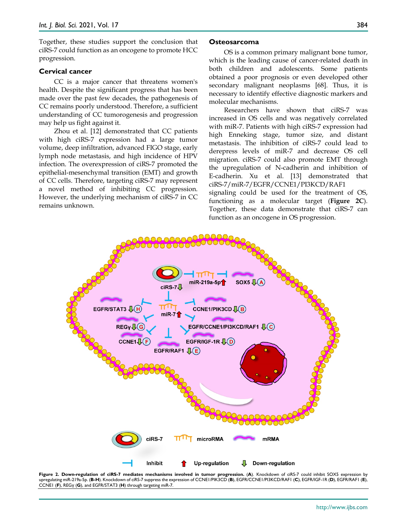Together, these studies support the conclusion that ciRS-7 could function as an oncogene to promote HCC progression.

#### **Cervical cancer**

CC is a major cancer that threatens women's health. Despite the significant progress that has been made over the past few decades, the pathogenesis of CC remains poorly understood. Therefore, a sufficient understanding of CC tumorogenesis and progression may help us fight against it.

Zhou et al. [12] demonstrated that CC patients with high ciRS-7 expression had a large tumor volume, deep infiltration, advanced FIGO stage, early lymph node metastasis, and high incidence of HPV infection. The overexpression of ciRS-7 promoted the epithelial-mesenchymal transition (EMT) and growth of CC cells. Therefore, targeting ciRS-7 may represent a novel method of inhibiting CC progression. However, the underlying mechanism of ciRS-7 in CC remains unknown.

# **Osteosarcoma**

OS is a common primary malignant bone tumor, which is the leading cause of cancer-related death in both children and adolescents. Some patients obtained a poor prognosis or even developed other secondary malignant neoplasms [68]. Thus, it is necessary to identify effective diagnostic markers and molecular mechanisms.

Researchers have shown that ciRS-7 was increased in OS cells and was negatively correlated with miR-7. Patients with high ciRS-7 expression had high Enneking stage, tumor size, and distant metastasis. The inhibition of ciRS-7 could lead to derepress levels of miR-7 and decrease OS cell migration. ciRS-7 could also promote EMT through the upregulation of N-cadherin and inhibition of E-cadherin. Xu et al. [13] demonstrated that ciRS-7/miR-7/EGFR/CCNE1/PI3KCD/RAF1

signaling could be used for the treatment of OS, functioning as a molecular target (**Figure 2C**). Together, these data demonstrate that ciRS-7 can function as an oncogene in OS progression.



**Figure 2. Down-regulation of ciRS-7 mediates mechanisms involved in tumor progression.** (**A**). Knockdown of ciRS-7 could inhibit SOX5 expression by upregulating miR-219a-5p. (**B-H**). Knockdown of ciRS-7 suppress the expression of CCNE1/PIK3CD (**B**), EGFR/CCNE1/PI3KCD/RAF1 (**C**), EGFR/IGF-1R (**D**), EGFR/RAF1 (**E**), CCNE1 (**F**), REGγ (**G**), and EGFR/STAT3 (**H**) through targeting miR-7.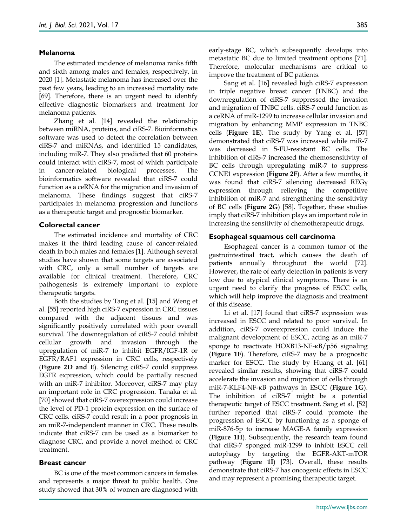#### **Melanoma**

The estimated incidence of melanoma ranks fifth and sixth among males and females, respectively, in 2020 [1]. Metastatic melanoma has increased over the past few years, leading to an increased mortality rate [69]. Therefore, there is an urgent need to identify effective diagnostic biomarkers and treatment for melanoma patients.

Zhang et al. [14] revealed the relationship between miRNA, proteins, and ciRS-7. Bioinformatics software was used to detect the correlation between ciRS-7 and miRNAs, and identified 15 candidates, including miR-7. They also predicted that 60 proteins could interact with ciRS-7, most of which participate in cancer-related biological processes. The bioinformatics software revealed that ciRS-7 could function as a ceRNA for the migration and invasion of melanoma. These findings suggest that ciRS-7 participates in melanoma progression and functions as a therapeutic target and prognostic biomarker.

#### **Colorectal cancer**

The estimated incidence and mortality of CRC makes it the third leading cause of cancer-related death in both males and females [1]. Although several studies have shown that some targets are associated with CRC, only a small number of targets are available for clinical treatment. Therefore, CRC pathogenesis is extremely important to explore therapeutic targets.

Both the studies by Tang et al. [15] and Weng et al. [55] reported high ciRS-7 expression in CRC tissues compared with the adjacent tissues and was significantly positively correlated with poor overall survival. The downregulation of ciRS-7 could inhibit cellular growth and invasion through the upregulation of miR-7 to inhibit EGFR/IGF-1R or EGFR/RAF1 expression in CRC cells, respectively (**Figure 2D and E**). Silencing ciRS-7 could suppress EGFR expression, which could be partially rescued with an miR-7 inhibitor. Moreover, ciRS-7 may play an important role in CRC progression. Tanaka et al. [70] showed that ciRS-7 overexpression could increase the level of PD-1 protein expression on the surface of CRC cells. ciRS-7 could result in a poor prognosis in an miR-7-independent manner in CRC. These results indicate that ciRS-7 can be used as a biomarker to diagnose CRC, and provide a novel method of CRC treatment.

#### **Breast cancer**

BC is one of the most common cancers in females and represents a major threat to public health. One study showed that 30% of women are diagnosed with early-stage BC, which subsequently develops into metastatic BC due to limited treatment options [71]. Therefore, molecular mechanisms are critical to improve the treatment of BC patients.

Sang et al. [16] revealed high ciRS-7 expression in triple negative breast cancer (TNBC) and the downregulation of ciRS-7 suppressed the invasion and migration of TNBC cells. ciRS-7 could function as a ceRNA of miR-1299 to increase cellular invasion and migration by enhancing MMP expression in TNBC cells (**Figure 1E**). The study by Yang et al. [57] demonstrated that ciRS-7 was increased while miR-7 was decreased in 5-FU-resistant BC cells. The inhibition of ciRS-7 increased the chemosensitivity of BC cells through upregulating miR-7 to suppress CCNE1 expression (**Figure 2F**). After a few months, it was found that ciRS-7 silencing decreased REGγ expression through relieving the competitive inhibition of miR-7 and strengthening the sensitivity of BC cells (**Figure 2G**) [58]. Together, these studies imply that ciRS-7 inhibition plays an important role in increasing the sensitivity of chemotherapeutic drugs.

# **Esophageal squamous cell carcinoma**

Esophageal cancer is a common tumor of the gastrointestinal tract, which causes the death of patients annually throughout the world [72]. However, the rate of early detection in patients is very low due to atypical clinical symptoms. There is an urgent need to clarify the progress of ESCC cells, which will help improve the diagnosis and treatment of this disease.

Li et al. [17] found that ciRS-7 expression was increased in ESCC and related to poor survival. In addition, ciRS-7 overexpression could induce the malignant development of ESCC, acting as an miR-7 sponge to reactivate HOXB13-NF-κB/p56 signaling (**Figure 1F**). Therefore, ciRS-7 may be a prognostic marker for ESCC. The study by Huang et al. [61] revealed similar results, showing that ciRS-7 could accelerate the invasion and migration of cells through miR-7-KLF4-NF-κB pathways in ESCC (**Figure 1G**). The inhibition of ciRS-7 might be a potential therapeutic target of ESCC treatment. Sang et al. [52] further reported that ciRS-7 could promote the progression of ESCC by functioning as a sponge of miR-876-5p to increase MAGE-A family expression (**Figure 1H**). Subsequently, the research team found that ciRS-7 sponged miR-1299 to inhibit ESCC cell autophagy by targeting the EGFR-AKT-mTOR pathway (**Figure 1I**) [73]. Overall, these results demonstrate that ciRS-7 has oncogenic effects in ESCC and may represent a promising therapeutic target.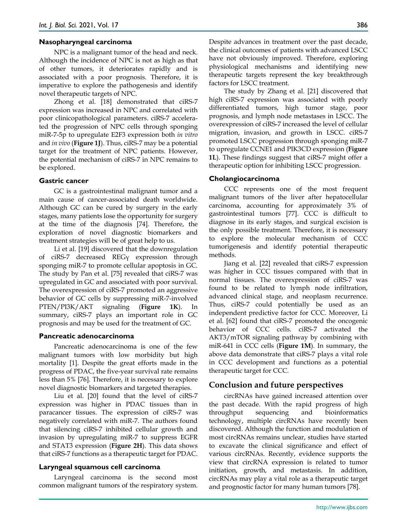# **Nasopharyngeal carcinoma**

NPC is a malignant tumor of the head and neck. Although the incidence of NPC is not as high as that of other tumors, it deteriorates rapidly and is associated with a poor prognosis. Therefore, it is imperative to explore the pathogenesis and identify novel therapeutic targets of NPC.

Zhong et al. [18] demonstrated that ciRS-7 expression was increased in NPC and correlated with poor clinicopathological parameters. ciRS-7 accelerated the progression of NPC cells through sponging miR-7-5p to upregulate E2F3 expression both *in vitro* and *in vivo* (**Figure 1J**). Thus, ciRS-7 may be a potential target for the treatment of NPC patients. However, the potential mechanism of ciRS-7 in NPC remains to be explored.

#### **Gastric cancer**

GC is a gastrointestinal malignant tumor and a main cause of cancer-associated death worldwide. Although GC can be cured by surgery in the early stages, many patients lose the opportunity for surgery at the time of the diagnosis [74]. Therefore, the exploration of novel diagnostic biomarkers and treatment strategies will be of great help to us.

Li et al. [19] discovered that the downregulation of ciRS-7 decreased REGγ expression through sponging miR-7 to promote cellular apoptosis in GC. The study by Pan et al. [75] revealed that ciRS-7 was upregulated in GC and associated with poor survival. The overexpression of ciRS-7 promoted an aggressive behavior of GC cells by suppressing miR-7-involved PTEN/PI3K/AKT signaling (**Figure 1K**). In summary, ciRS-7 plays an important role in GC prognosis and may be used for the treatment of GC.

#### **Pancreatic adenocarcinoma**

Pancreatic adenocarcinoma is one of the few malignant tumors with low morbidity but high mortality [1]. Despite the great efforts made in the progress of PDAC, the five-year survival rate remains less than 5% [76]. Therefore, it is necessary to explore novel diagnostic biomarkers and targeted therapies.

Liu et al. [20] found that the level of ciRS-7 expression was higher in PDAC tissues than in paracancer tissues. The expression of ciRS-7 was negatively correlated with miR-7. The authors found that silencing ciRS-7 inhibited cellular growth and invasion by upregulating miR-7 to suppress EGFR and STAT3 expression (**Figure 2H**). This data shows that ciRS-7 functions as a therapeutic target for PDAC.

#### **Laryngeal squamous cell carcinoma**

Laryngeal carcinoma is the second most common malignant tumors of the respiratory system.

Despite advances in treatment over the past decade, the clinical outcomes of patients with advanced LSCC have not obviously improved. Therefore, exploring physiological mechanisms and identifying new therapeutic targets represent the key breakthrough factors for LSCC treatment.

The study by Zhang et al. [21] discovered that high ciRS-7 expression was associated with poorly differentiated tumors, high tumor stage, poor prognosis, and lymph node metastases in LSCC. The overexpression of ciRS-7 increased the level of cellular migration, invasion, and growth in LSCC. ciRS-7 promoted LSCC progression through sponging miR-7 to upregulate CCNE1 and PIK3CD expression (**Figure 1L**). These findings suggest that ciRS-7 might offer a therapeutic option for inhibiting LSCC progression.

#### **Cholangiocarcinoma**

CCC represents one of the most frequent malignant tumors of the liver after hepatocellular carcinoma, accounting for approximately 3% of gastrointestinal tumors [77]. CCC is difficult to diagnose in its early stages, and surgical excision is the only possible treatment. Therefore, it is necessary to explore the molecular mechanism of CCC tumorigenesis and identify potential therapeutic methods.

Jiang et al. [22] revealed that ciRS-7 expression was higher in CCC tissues compared with that in normal tissues. The overexpression of ciRS-7 was found to be related to lymph node infiltration, advanced clinical stage, and neoplasm recurrence. Thus, ciRS-7 could potentially be used as an independent predictive factor for CCC. Moreover, Li et al. [62] found that ciRS-7 promoted the oncogenic behavior of CCC cells. ciRS-7 activated the AKT3/mTOR signaling pathway by combining with miR-641 in CCC cells (**Figure 1M**). In summary, the above data demonstrate that ciRS-7 plays a vital role in CCC development and functions as a potential therapeutic target for CCC.

# **Conclusion and future perspectives**

circRNAs have gained increased attention over the past decade. With the rapid progress of high throughput sequencing and bioinformatics technology, multiple circRNAs have recently been discovered. Although the function and modulation of most circRNAs remains unclear, studies have started to excavate the clinical significance and effect of various circRNAs. Recently, evidence supports the view that circRNA expression is related to tumor initiation, growth, and metastasis. In addition, circRNAs may play a vital role as a therapeutic target and prognostic factor for many human tumors [78].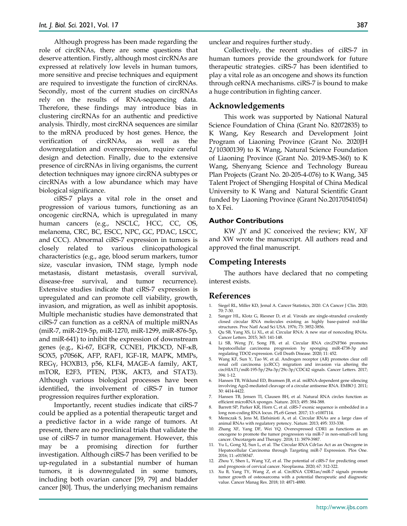Although progress has been made regarding the role of circRNAs, there are some questions that deserve attention. Firstly, although most circRNAs are expressed at relatively low levels in human tumors, more sensitive and precise techniques and equipment are required to investigate the function of circRNAs. Secondly, most of the current studies on circRNAs rely on the results of RNA-sequencing data. Therefore, these findings may introduce bias in clustering circRNAs for an authentic and predictive analysis. Thirdly, most circRNA sequences are similar to the mRNA produced by host genes. Hence, the verification of circRNAs, as well as the downregulation and overexpression, require careful design and detection. Finally, due to the extensive presence of circRNAs in living organisms, the current detection techniques may ignore circRNA subtypes or circRNAs with a low abundance which may have biological significance.

ciRS-7 plays a vital role in the onset and progression of various tumors, functioning as an oncogenic circRNA, which is upregulated in many human cancers (e.g., NSCLC, HCC, CC, OS, melanoma, CRC, BC, ESCC, NPC, GC, PDAC, LSCC, and CCC). Abnormal ciRS-7 expression in tumors is closely related to various clinicopathological characteristics (e.g., age, blood serum markers, tumor size, vascular invasion, TNM stage, lymph node metastasis, distant metastasis, overall survival, disease-free survival, and tumor recurrence). Extensive studies indicate that ciRS-7 expression is upregulated and can promote cell viability, growth, invasion, and migration, as well as inhibit apoptosis. Multiple mechanistic studies have demonstrated that ciRS-7 can function as a ceRNA of multiple miRNAs (miR-7, miR-219-5p, miR-1270, miR-1299, miR-876-5p, and miR-641) to inhibit the expression of downstream genes (e.g., Ki-67, EGFR, CCNE1, PIK3CD, NF-κB, SOX5, p70S6K, AFP, RAF1, IGF-1R, MAPK, MMPs, REGγ, HOXB13, p56, KLF4, MAGE-A family, AKT, mTOR, E2F3, PTEN, PI3K, AKT3, and STAT3). Although various biological processes have been identified, the involvement of ciRS-7 in tumor progression requires further exploration.

Importantly, recent studies indicate that ciRS-7 could be applied as a potential therapeutic target and a predictive factor in a wide range of tumors. At present, there are no preclinical trials that validate the use of ciRS-7 in tumor management. However, this may be a promising direction for further investigation. Although ciRS-7 has been verified to be up-regulated in a substantial number of human tumors, it is downregulated in some tumors, including both ovarian cancer [59, 79] and bladder cancer [80]. Thus, the underlying mechanism remains

unclear and requires further study.

Collectively, the recent studies of ciRS-7 in human tumors provide the groundwork for future therapeutic strategies. ciRS-7 has been identified to play a vital role as an oncogene and shows its function through ceRNA mechanisms. ciRS-7 is bound to make a huge contribution in fighting cancer.

#### **Acknowledgements**

This work was supported by National Natural Science Foundation of China (Grant No. 82072835) to K Wang, Key Research and Development Joint Program of Liaoning Province (Grant No. 2020JH) 2/10300139) to K Wang, Natural Science Foundation of Liaoning Province (Grant No. 2019-MS-360) to K Wang, Shenyang Science and Technology Bureau Plan Projects (Grant No. 20-205-4-076) to K Wang, 345 Talent Project of Shengjing Hospital of China Medical University to K Wang and Natural Scientific Grant funded by Liaoning Province (Grant No.20170541054) to X Fei.

#### **Author Contributions**

KW ,JY and JC conceived the review; KW, XF and XW wrote the manuscript. All authors read and approved the final manuscript.

# **Competing Interests**

The authors have declared that no competing interest exists.

#### **References**

- 1. Siegel RL, Miller KD, Jemal A. Cancer Statistics, 2020. CA Cancer J Clin. 2020; 70: 7-30.
- 2. Sanger HL, Klotz G, Riesner D, et al. Viroids are single-stranded covalently closed circular RNA molecules existing as highly base-paired rod-like structures. Proc Natl Acad Sci USA. 1976; 73: 3852-3856.
- 3. Qu SB, Yang XS, Li XL, et al. Circular RNA: A new star of noncoding RNAs. Cancer Letters. 2015; 365: 141-148.
- 4. Li SB, Weng JY, Song FB, et al. Circular RNA circZNF566 promotes hepatocellular carcinoma progression by sponging miR-4738-3p and regulating TDO2 expression. Cell Death Disease. 2020; 11: 452.
- 5. Wang KF, Sun Y, Tao W, et al. Androgen receptor (AR) promotes clear cell renal cell carcinoma (ccRCC) migration and invasion via altering the circHIAT1/miR-195-5p/29a-3p/29c-3p/CDC42 signals. Cancer Letters. 2017; 394: 1-12.
- 6. Hansen TB, Wiklund ED, Bramsen JB, et al. miRNA-dependent gene silencing involving Ago2-mediated cleavage of a circular antisense RNA. EMBO J. 2011; 30: 4414-4422.
- 7. Hansen TB, Jensen TI, Clausen BH, et al. Natural RNA circles function as efficient microRNA sponges. Nature. 2013; 495: 384-388.
- 8. Barrett SP, Parker KR, Horn C, et al. ciRS-7 exonic sequence is embedded in a long non-coding RNA locus. PLoS Genet. 2017; 13: e1007114.
- 9. Memczak S, Jens M, Elefsinioti A, et al. Circular RNAs are a large class of animal RNAs with regulatory potency. Nature. 2013; 495: 333-338.
- 10. Zhang XF, Yang DF, Wei YQ. Overexpressed CDR1 as functions as an oncogene to promote the tumor progression via miR-7 in non-small-cell lung cancer. Oncotargets and Therapy. 2018; 11: 3979-3987.
- 11. Yu L, Gong XJ, Sun L, et al. The Circular RNA Cdr1as Act as an Oncogene in Hepatocellular Carcinoma through Targeting miR-7 Expression. Plos One. 2016; 11: e0158347.
- 12. Zhou Y, Shen L, Wang YZ, et al. The potential of ciRS-7 for predicting onset and prognosis of cervical cancer. Neoplasma. 2020; 67: 312-322.
- 13. Xu B, Yang TY, Wang Z, et al. CircRNA CDR1as/miR-7 signals promote tumor growth of osteosarcoma with a potential therapeutic and diagnostic value. Cancer Manag Res. 2018; 10: 4871-4880.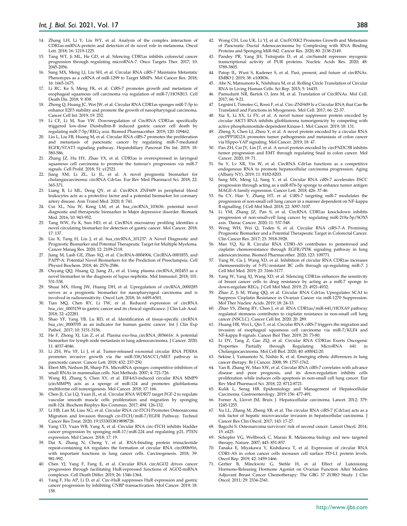- 14. Zhang LH, Li Y, Liu WY, et al. Analysis of the complex interaction of CDR1as-miRNA-protein and detection of its novel role in melanoma. Oncol Lett. 2018; 16: 1219-1225.
- 15. Tang WT, Ji ML, He GD, et al. Silencing CDR1as inhibits colorectal cancer progression through regulating microRNA-7. Onco Targets Ther. 2017; 10: 2045-2056.
- 16. Sang MX, Meng LJ, Liu SH, et al. Circular RNA ciRS-7 Maintains Metastatic Phenotypes as a ceRNA of miR-1299 to Target MMPs. Mol Cancer Res. 2018; 16: 1665-1675.
- 17. Li RC, Ke S, Meng FK, et al. CiRS-7 promotes growth and metastasis of esophageal squamous cell carcinoma via regulation of miR-7/HOXB13. Cell Death Dis. 2018; 9: 838.
- 18. Zhong Q, Huang JC, Wei JW, et al. Circular RNA CDR1as sponges miR-7-5p to enhance E2F3 stability and promote the growth of nasopharyngeal carcinoma. Cancer Cell Int. 2019; 19: 252.
- 19. Li CF, Li M, Xue YW. Downregulation of CircRNA CDR1as specifically triggered low-dose Diosbulbin-B induced gastric cancer cell death by regulating miR-7-5p/REGγ axis. Biomed Pharmacother. 2019; 120: 109462.
- 20. Liu L, Liu FB, Huang M, et al. Circular RNA ciRS-7 promotes the proliferation and metastasis of pancreatic cancer by regulating miR-7-mediated EGFR/STAT3 signaling pathway. Hepatobiliary Pancreat Dis Int. 2019; 18: 580-586.
- 21. Zhang JZ, Hu HY, Zhao YX, et al. CDR1as is overexpressed in laryngeal squamous cell carcinoma to promote the tumour's progression via miR-7 signals. Cell Prolif. 2018; 51: e12521.
- 22. Jiang XM, Li ZL, Li JL, et al. A novel prognostic biomarker for cholangiocarcinoma: circRNA Cdr1as. Eur Rev Med Pharmacol Sci. 2018; 22: 365-371.
- 23. Liang B, Li ML, Deng QY, et al. CircRNA ZNF609 in peripheral blood leukocytes acts as a protective factor and a potential biomarker for coronary artery disease. Ann Transl Med. 2020; 8: 741.
- Cui XL, Niu W, Kong LM, et al. hsa\_circRNA\_103636: potential novel diagnostic and therapeutic biomarker in Major depressive disorder. Biomark Med. 2016; 10: 943-952.
- 25. Tang WW, Fu K, Sun HD, et al. CircRNA microarray profiling identifies a novel circulating biomarker for detection of gastric cancer. Mol Cancer. 2018; 17: 137.
- 26. Liu X, Tang H, Liu J, et al. hsa\_circRNA\_101237: A Novel Diagnostic and Prognostic Biomarker and Potential Therapeutic Target for Multiple Myeloma. Cancer Manag Res. 2020; 12: 2109-2118.
- 27. Jiang M, Lash GE, Zhao XQ, et al. CircRNA-0004904, CircRNA-0001855, and PAPP-A: Potential Novel Biomarkers for the Prediction of Preeclampsia. Cell Physiol Biochem. 2018; 46: 2576-2586.
- 28. Ouyang QQ, Huang Q, Jiang ZL, et al. Using plasma circRNA\_002453 as a novel biomarker in the diagnosis of lupus nephritis. Mol Immunol. 2018; 101: 531-538.
- 29. Shuai MX, Hong JW, Huang DH, et al. Upregulation of circRNA\_0000285 serves as a prognostic biomarker for nasopharyngeal carcinoma and is involved in radiosensitivity. Oncol Lett. 2018; 16: 6495-6501.
- 30. Tian MQ, Chen RY, Li TW, et al. Reduced expression of circRNA hsa\_circ\_0003159 in gastric cancer and its clinical significance. J Clin Lab Anal. 2018; 32: e22281.
- 31. Shao YF, Yang YB, Lu RD, et al. Identification of tissue-specific circRNA hsa\_circ\_0000705 as an indicator for human gastric cancer. Int J Clin Exp Pathol. 2017; 10: 3151-3156.
- 32. He F, Zhong XJ, Lin Z, et al. Plasma exo-hsa\_circRNA\_0056616: A potential biomarker for lymph node metastasis in lung adenocarcinoma. J Cancer. 2020; 11: 4037-4046.
- 33. Li ZH, Wu YF, Li J, et al. Tumor-released exosomal circular RNA PDE8A promotes invasive growth via the miR-338/MACC1/MET pathway in pancreatic cancer. Cancer Lett. 2018; 432: 237-250.
- Ebert MS, Neilson JR, Sharp PA. MicroRNA sponges: competitive inhibitors of small RNAs in mammalian cells. Nat Methods. 2007; 4: 721-726.
- 35. Wang RJ, Zhang S, Chen XY, et al. EIF4A3-induced circular RNA MMP9 (circMMP9) acts as a sponge of miR-124 and promotes glioblastoma multiforme cell tumorigenesis. Mol Cancer. 2018; 17: 166.
- 36. Chen JJ, Cui LQ, Yuan JL, et al. Circular RNA WDR77 target FGF-2 to regulate vascular smooth muscle cells proliferation and migration by sponging miR-124. Biochem Biophys Res Commun. 2017; 494: 126-132.
- 37. Li HB, Lan M, Liao XG, et al. Circular RNA cir-ITCH Promotes Osteosarcoma Migration and Invasion through cir-ITCH/miR-7/EGFR Pathway. Technol Cancer Res Treat. 2020; 19:1533033819898728.
- 38. Yang CD, Yuan WB, Yang X, et al. Circular RNA circ-ITCH inhibits bladder cancer progression by sponging miR-17/miR-224 and regulating p21, PTEN expression. Mol Cancer. 2018; 17: 19.
- 39. Dai X, Zhang N, Cheng Y, et al. RNA-binding protein trinucleotide repeat-containing 6A regulates the formation of circular RNA circ0006916, with important functions in lung cancer cells. Carcinogenesis. 2018; 39: 981-992.
- 40. Chen YJ, Yang F, Fang E, et al. Circular RNA circAGO2 drives cancer progression through facilitating HuR-repressed functions of AGO2-miRNA complexes. Cell Death Differ. 2019; 26: 1346-1364.
- Yang F, Hu AP, Li D, et al. Circ-HuR suppresses HuR expression and gastric cancer progression by inhibiting CNBP transactivation. Mol Cancer. 2019; 18: 158.
- 42. Wong CH, Lou UK, Li YJ, et al. CircFOXK2 Promotes Growth and Metastasis of Pancreatic Ductal Adenocarcinoma by Complexing with RNA Binding Proteins and Sponging MiR-942. Cancer Res. 2020; 80: 2138-2149.
- 43. Pandey PR, Yang JH, Tsitsipatis D, et al. circSamd4 represses myogenic transcriptional activity of PUR proteins. Nucleic Acids Res. 2020; 48: 3789-3805.
- 44. Patop IL, Wust S, Kadener S, et al. Past, present, and future of circRNAs. EMBO J. 2019; 38: e100836.
- 45. Abe N, Matsumoto K, Nishihara M, et al. Rolling Circle Translation of Circular RNA in Living Human Cells. Sci Rep. 2015; 5: 16435.
- 46. Pamudurti NR, Bartok O, Jens M, et al. Translation of CircRNAs. Mol Cell. 2017; 66: 9-21.
- 47. Legnini I, Timoteo G, Rossi F, et al. Circ-ZNF609 Is a Circular RNA that Can Be Translated and Functions in Myogenesis. Mol Cell. 2017; 66: 22-37.
- Xia X, Li XX, Li FY, et al. A novel tumor suppressor protein encoded by circular AKT3 RNA inhibits glioblastoma tumorigenicity by competing with active phosphoinositide-dependent Kinase-1. Mol Cancer. 2019; 18: 131.
- 49. Zheng  $X$ , Chen LJ, Zhou  $Y$ , et al. A novel protein encoded by a circular RNA circPPP1R12A promotes tumor pathogenesis and metastasis of colon cancer via Hippo-YAP signaling. Mol Cancer. 2019; 18: 47.
- 50. Pan ZH, Cai JY, Lin JT, et al. A novel protein encoded by circFNDC3B inhibits tumor progression and EMT through regulating Snail in colon cancer. Mol Cancer. 2020; 19: 71.
- 51. Su Y, Lv XR, Yin W, et al. CircRNA Cdr1as functions as a competitive endogenous RNA to promote hepatocellular carcinoma progression. Aging (Albany NY). 2019; 11: 8182-8203.
- 52. Sang MX, Meng LJ, Sang Y, et al. Circular RNA ciRS-7 accelerates ESCC progression through acting as a miR-876-5p sponge to enhance tumor antigen MAGE-A family expression. Cancer Lett. 2018; 426: 37-46.
- 53. Su CY, Han Y, Zhang HT, et al. CiRS-7 targeting miR-7 modulates the progression of non-small cell lung cancer in a manner dependent on NF-kappa B signalling. J Cell Mol Med. 2018; 22: 3097-3107.
- 54. Li YM, Zhang JZ, Pan S, et al. CircRNA CDR1as knockdown inhibits progression of non-small-cell lung cancer by regulating miR-219a-5p/SOX5 axis. Thorac Cancer. 2020; 11: 537-548.
- 55. Weng WH, Wei Q, Toden S, et al. Circular RNA ciRS-7-A Promising Prognostic Biomarker and a Potential Therapeutic Target in Colorectal Cancer. Clin Cancer Res. 2017; 23: 3918-3928.
- 56. Mao YQ, Xu R. Circular RNA CDR1-AS contributes to pemetrexed and cisplatin chemoresistance through EGFR/PI3K signaling pathway in lung adenocarcinoma. Biomed Pharmacother. 2020; 123: 109771.
- 57. Yang W, Gu J, Wang XD, et al. Inhibition of circular RNA CDR1as increases chemosensitivity of 5-FU-resistant BC cells through up-regulating miR-7. J Cell Mol Med. 2019; 23: 3166-3177.
- 58. Yang W, Yang XJ, Wang XD, et al. Silencing CDR1as enhances the sensitivity of breast cancer cells to drug resistance by acting as a miR-7 sponge to down-regulate REGγ. J Cell Mol Med. 2019; 23: 4921-4932.
- Zhao Z, Ji M, Wang QQ, et al. Circular RNA Cdr1as Upregulates SCAI to Suppress Cisplatin Resistance in Ovarian Cancer via miR-1270 Suppression. Mol Ther Nucleic Acids. 2019; 18: 24-33.
- 60. Zhao YS, Zheng RY, Chen J, et al. RNA CDR1as/miR-641/HOXA9 pathway regulated stemness contributes to cisplatin resistance in non-small cell lung cancer (NSCLC). Cancer Cell Int. 2020; 20: 289.
- 61. Huang HR, Wei L, Qin T, et al. Circular RNA ciRS-7 triggers the migration and invasion of esophageal squamous cell carcinoma via miR-7/KLF4 and NF-kappa B signals. Cancer Biol Ther. 2019; 20: 73-80.
- 62. Li DY, Tang Z, Gao ZQ, et al. Circular RNA CDR1as Exerts Oncogenic Properties Partially through Regulating MicroRNA 641 in Cholangiocarcinoma. Mol Cell Biol. 2020; 40: e00042-20.
- 63. Sekine I, Yamamoto N, Nishio K, et al. Emerging ethnic differences in lung cancer therapy. Br J Cancer. 2008; 99: 1757-1762.
- 64. Yan B, Zhang W, Mao XW, et al. Circular RNA ciRS-7 correlates with advance disease and poor prognosis, and its down-regulation inhibits cells proliferation while induces cells apoptosis in non-small cell lung cancer. Eur Rev Med Pharmacol Sci. 2018; 22: 8712-8721.
- 65. Kulik L, Serag HB. Epidemiology and Management of Hepatocellular Carcinoma. Gastroenterology. 2019; 156: 477-491.
- 66. Forner A, Llovet JM, Bruix J. Hepatocellular carcinoma. Lancet. 2012; 379: 1245-1255.
- 67. Xu LL, Zhang M, Zheng XB, et al. The circular RNA ciRS-7 (Cdr1as) acts as a risk factor of hepatic microvascular invasion in hepatocellular carcinoma. J Cancer Res Clin Oncol. 2017; 143: 17-27.
- 68. Bagcchi S. Osteosarcoma survivors' risk of second cancer. Lancet Oncol. 2014; 15: e425.
- 69. Schopfer VG, Wellbrock C, Marais R. Melanoma biology and new targeted therapy. Nature. 2007; 445: 851-857.
- 70. Tanaka E, Miyakawa Y, Kishikawa T, et al. Expression of circular RNA CDR1-AS in colon cancer cells increases cell surface PD-L1 protein levels. Oncol Rep. 2019; 42: 1459-1466.
- 71. Gerber B, Minckwitz G, Stehle H, et al. Effect of Luteinizing Hormone-Releasing Hormone Agonist on Ovarian Function After Modern Adjuvant Breast Cancer Chemotherapy: The GBG 37 ZORO Study. J Clin Oncol. 2011; 29: 2334-2341.